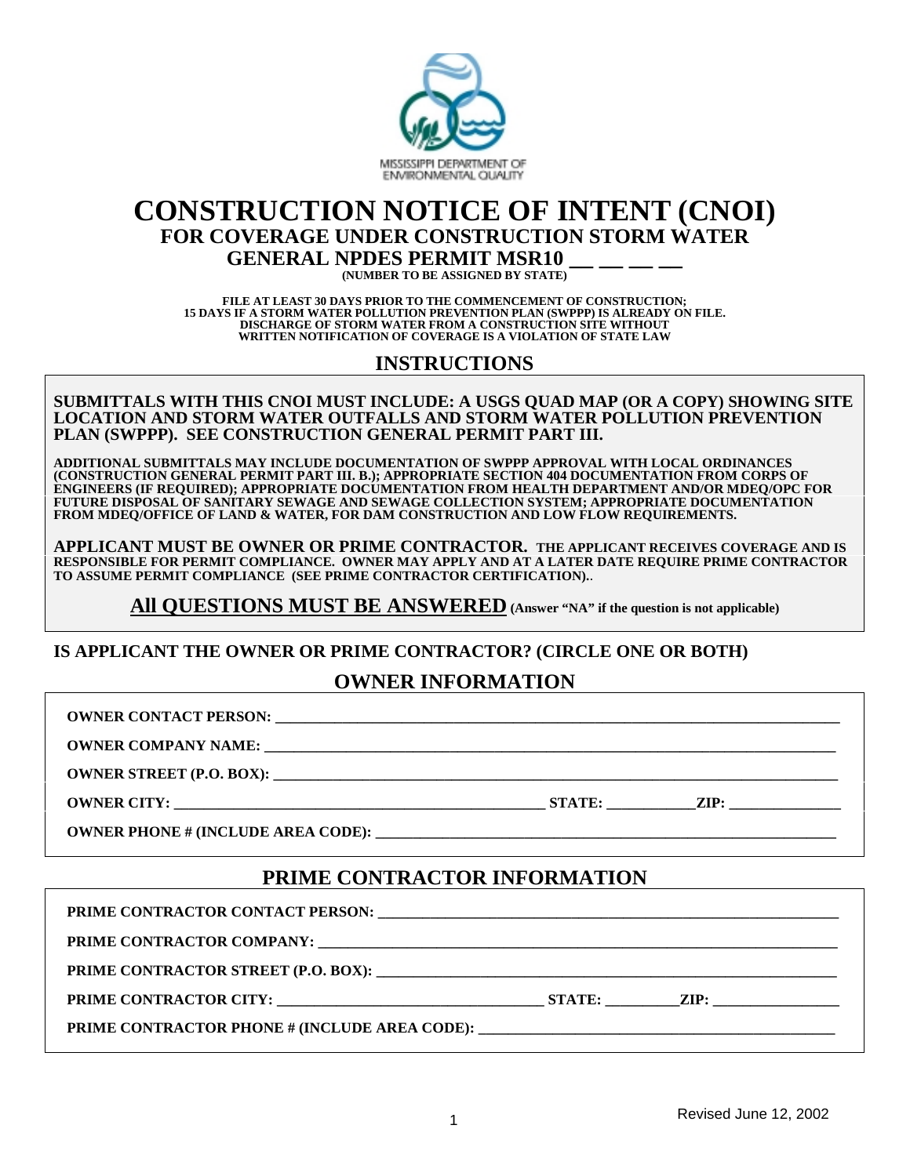

## **CONSTRUCTION NOTICE OF INTENT (CNOI) FOR COVERAGE UNDER CONSTRUCTION STORM WATER GENERAL NPDES PERMIT MSR10**<br>  $\frac{(NUMBER TO BE ASSIGNED BY STATE)}$

**FILE AT LEAST 30 DAYS PRIOR TO THE COMMENCEMENT OF CONSTRUCTION; 15 DAYS IF A STORM WATER POLLUTION PREVENTION PLAN (SWPPP) IS ALREADY ON FILE. DISCHARGE OF STORM WATER FROM A CONSTRUCTION SITE WITHOUT WRITTEN NOTIFICATION OF COVERAGE IS A VIOLATION OF STATE LAW**

## **INSTRUCTIONS**

**SUBMITTALS WITH THIS CNOI MUST INCLUDE: A USGS QUAD MAP (OR A COPY) SHOWING SITE LOCATION AND STORM WATER OUTFALLS AND STORM WATER POLLUTION PREVENTION PLAN (SWPPP). SEE CONSTRUCTION GENERAL PERMIT PART III.**

**ADDITIONAL SUBMITTALS MAY INCLUDE DOCUMENTATION OF SWPPP APPROVAL WITH LOCAL ORDINANCES (CONSTRUCTION GENERAL PERMIT PART III. B.); APPROPRIATE SECTION 404 DOCUMENTATION FROM CORPS OF ENGINEERS (IF REQUIRED); APPROPRIATE DOCUMENTATION FROM HEALTH DEPARTMENT AND/OR MDEQ/OPC FOR FUTURE DISPOSAL OF SANITARY SEWAGE AND SEWAGE COLLECTION SYSTEM; APPROPRIATE DOCUMENTATION FROM MDEQ/OFFICE OF LAND & WATER, FOR DAM CONSTRUCTION AND LOW FLOW REQUIREMENTS.**

**APPLICANT MUST BE OWNER OR PRIME CONTRACTOR. THE APPLICANT RECEIVES COVERAGE AND IS RESPONSIBLE FOR PERMIT COMPLIANCE. OWNER MAY APPLY AND AT A LATER DATE REQUIRE PRIME CONTRACTOR TO ASSUME PERMIT COMPLIANCE (SEE PRIME CONTRACTOR CERTIFICATION).**.

**All QUESTIONS MUST BE ANSWERED (Answer "NA" if the question is not applicable)**

#### **IS APPLICANT THE OWNER OR PRIME CONTRACTOR? (CIRCLE ONE OR BOTH)**

### **OWNER INFORMATION**

**OWNER CONTACT PERSON: \_\_\_\_\_\_\_\_\_\_\_\_\_\_\_\_\_\_\_\_\_\_\_\_\_\_\_\_\_\_\_\_\_\_\_\_\_\_\_\_\_\_\_\_\_\_\_\_\_\_\_\_\_\_\_\_\_\_\_\_\_\_\_\_\_\_\_\_\_\_\_\_\_\_\_\_**

**OWNER COMPANY NAME:** 

**OWNER STREET (P.O. BOX): \_\_\_\_\_\_\_\_\_\_\_\_\_\_\_\_\_\_\_\_\_\_\_\_\_\_\_\_\_\_\_\_\_\_\_\_\_\_\_\_\_\_\_\_\_\_\_\_\_\_\_\_\_\_\_\_\_\_\_\_\_\_\_\_\_\_\_\_\_\_\_\_\_\_\_\_**

**OWNER CITY: \_\_\_\_\_\_\_\_\_\_\_\_\_\_\_\_\_\_\_\_\_\_\_\_\_\_\_\_\_\_\_\_\_\_\_\_\_\_\_\_\_\_\_\_\_\_\_\_\_\_ STATE: \_\_\_\_\_\_\_\_\_\_\_\_ZIP: \_\_\_\_\_\_\_\_\_\_\_\_\_\_\_**

**OWNER PHONE # (INCLUDE AREA CODE): \_\_\_\_\_\_\_\_\_\_\_\_\_\_\_\_\_\_\_\_\_\_\_\_\_\_\_\_\_\_\_\_\_\_\_\_\_\_\_\_\_\_\_\_\_\_\_\_\_\_\_\_\_\_\_\_\_\_\_\_\_\_**

## **PRIME CONTRACTOR INFORMATION**

**PRIME CONTRACTOR CONTACT PERSON: \_\_\_\_\_\_\_\_\_\_\_\_\_\_\_\_\_\_\_\_\_\_\_\_\_\_\_\_\_\_\_\_\_\_\_\_\_\_\_\_\_\_\_\_\_\_\_\_\_\_\_\_\_\_\_\_\_\_\_\_\_\_**

PRIME CONTRACTOR COMPANY:

PRIME CONTRACTOR STREET (P.O. BOX):

**PRIME CONTRACTOR CITY:**  THE STATE: THE ZIP:

PRIME CONTRACTOR PHONE # (INCLUDE AREA CODE): \_\_\_\_\_\_\_\_\_\_\_\_\_\_\_\_\_\_\_\_\_\_\_\_\_\_\_\_\_\_\_\_\_\_\_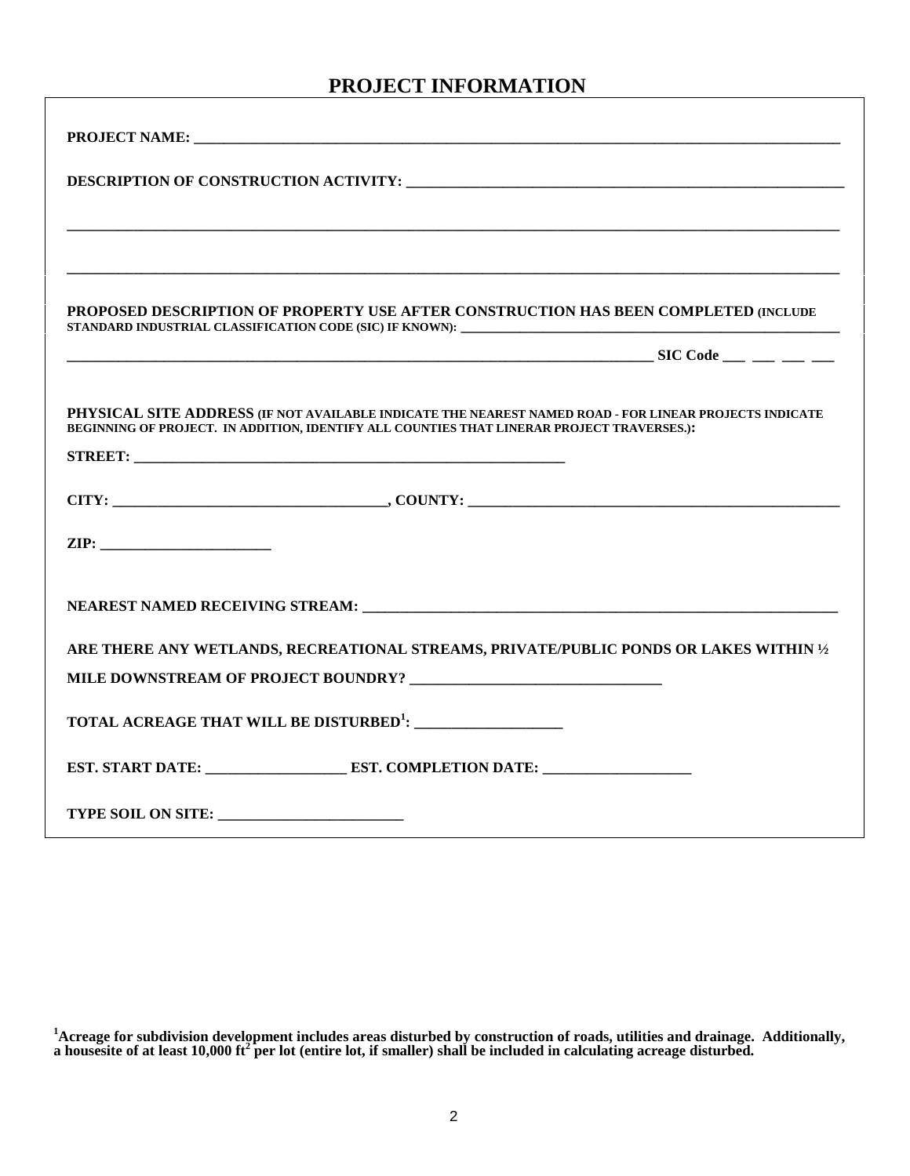## **PROJECT INFORMATION**

| PROPOSED DESCRIPTION OF PROPERTY USE AFTER CONSTRUCTION HAS BEEN COMPLETED (INCLUDE<br>STANDARD INDUSTRIAL CLASSIFICATION CODE (SIC) IF KNOWN):                                                      |
|------------------------------------------------------------------------------------------------------------------------------------------------------------------------------------------------------|
|                                                                                                                                                                                                      |
| PHYSICAL SITE ADDRESS (IF NOT AVAILABLE INDICATE THE NEAREST NAMED ROAD - FOR LINEAR PROJECTS INDICATE<br>BEGINNING OF PROJECT. IN ADDITION, IDENTIFY ALL COUNTIES THAT LINERAR PROJECT TRAVERSES.): |
|                                                                                                                                                                                                      |
|                                                                                                                                                                                                      |
| $\mathbf{ZIP:}\qquad \qquad \qquad$                                                                                                                                                                  |
|                                                                                                                                                                                                      |
| ARE THERE ANY WETLANDS, RECREATIONAL STREAMS, PRIVATE/PUBLIC PONDS OR LAKES WITHIN 1/2                                                                                                               |
|                                                                                                                                                                                                      |
| TOTAL ACREAGE THAT WILL BE DISTURBED <sup>1</sup> : _________________                                                                                                                                |
| EST. START DATE: EST. COMPLETION DATE:                                                                                                                                                               |
|                                                                                                                                                                                                      |

**<sup>1</sup> Acreage for subdivision development includes areas disturbed by construction of roads, utilities and drainage. Additionally,** a housesite of at least 10,000 ft<sup>2</sup> per lot (entire lot, if smaller) shall be included in calculating acreage disturbed.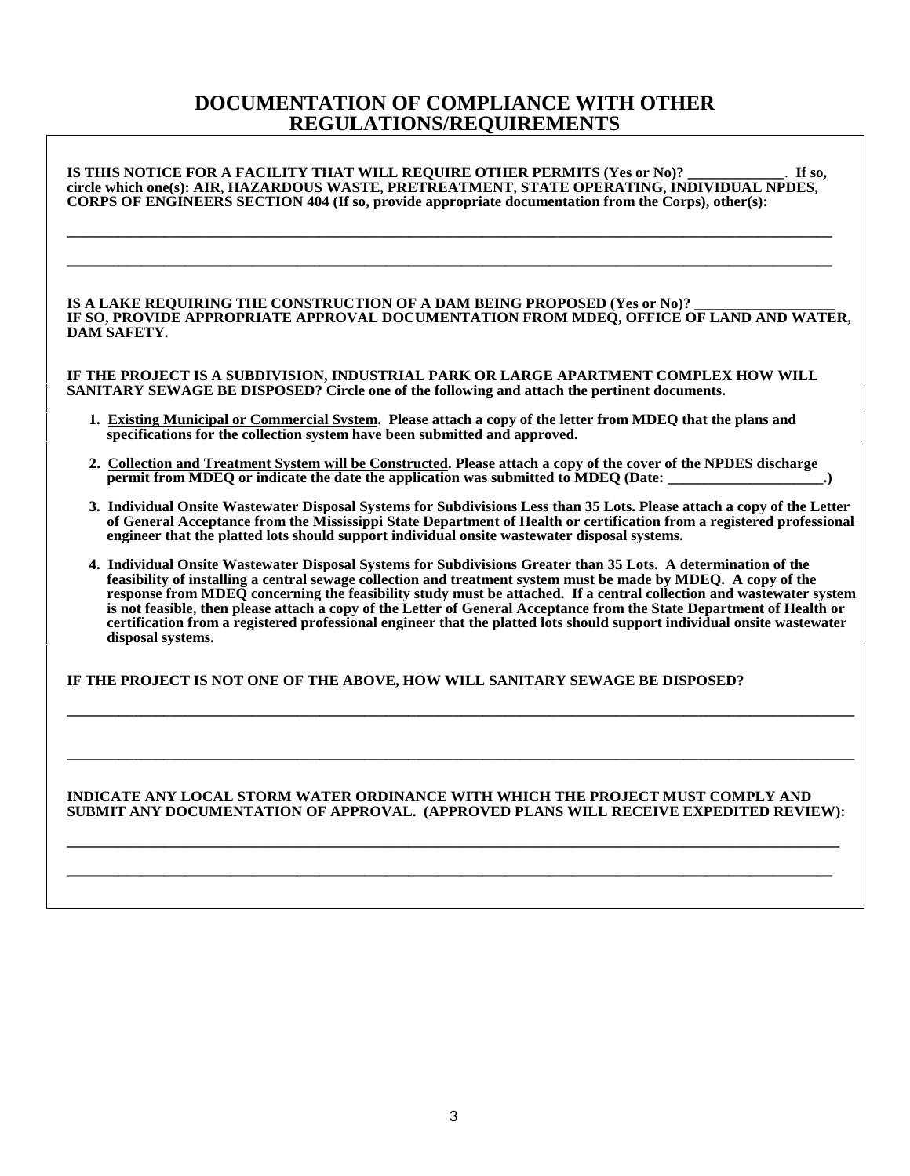#### **DOCUMENTATION OF COMPLIANCE WITH OTHER REGULATIONS/REQUIREMENTS**

## **IS THIS NOTICE FOR A FACILITY THAT WILL REQUIRE OTHER PERMITS (Yes or No)? \_\_\_\_\_\_\_\_\_\_\_\_\_**. **If so, circle which one(s): AIR, HAZARDOUS WASTE, PRETREATMENT, STATE OPERATING, INDIVIDUAL NPDES, CORPS OF ENGINEERS SECTION 404 (If so, provide appropriate documentation from the Corps), other(s): \_\_\_\_\_\_\_\_\_\_\_\_\_\_\_\_\_\_\_\_\_\_\_\_\_\_\_\_\_\_\_\_\_\_\_\_\_\_\_\_\_\_\_\_\_\_\_\_\_\_\_\_\_\_\_\_\_\_\_\_\_\_\_\_\_\_\_\_\_\_\_\_\_\_\_\_\_\_\_\_\_\_\_\_\_\_\_\_\_\_\_\_\_\_\_\_\_\_\_\_\_\_\_** \_\_\_\_\_\_\_\_\_\_\_\_\_\_\_\_\_\_\_\_\_\_\_\_\_\_\_\_\_\_\_\_\_\_\_\_\_\_\_\_\_\_\_\_\_\_\_\_\_\_\_\_\_\_\_\_\_\_\_\_\_\_\_\_\_\_\_\_\_\_\_\_\_\_\_\_\_\_\_\_\_\_\_\_\_\_\_\_\_\_\_\_\_\_\_\_\_\_\_\_\_\_\_ IS A LAKE REQUIRING THE CONSTRUCTION OF A DAM BEING PROPOSED (Yes or No)? **IF SO, PROVIDE APPROPRIATE APPROVAL DOCUMENTATION FROM MDEQ, OFFICE OF LAND AND WATER, DAM SAFETY. IF THE PROJECT IS A SUBDIVISION, INDUSTRIAL PARK OR LARGE APARTMENT COMPLEX HOW WILL**

**SANITARY SEWAGE BE DISPOSED? Circle one of the following and attach the pertinent documents.**

- **1. Existing Municipal or Commercial System. Please attach a copy of the letter from MDEQ that the plans and specifications for the collection system have been submitted and approved.**
- **2. Collection and Treatment System will be Constructed. Please attach a copy of the cover of the NPDES discharge permit from MDEQ or indicate the date the application was submitted to MDEQ (Date:**
- **3. Individual Onsite Wastewater Disposal Systems for Subdivisions Less than 35 Lots. Please attach a copy of the Letter of General Acceptance from the Mississippi State Department of Health or certification from a registered professional engineer that the platted lots should support individual onsite wastewater disposal systems.**
- **4. Individual Onsite Wastewater Disposal Systems for Subdivisions Greater than 35 Lots. A determination of the feasibility of installing a central sewage collection and treatment system must be made by MDEQ. A copy of the response from MDEQ concerning the feasibility study must be attached. If a central collection and wastewater system is not feasible, then please attach a copy of the Letter of General Acceptance from the State Department of Health or certification from a registered professional engineer that the platted lots should support individual onsite wastewater disposal systems.**

#### **IF THE PROJECT IS NOT ONE OF THE ABOVE, HOW WILL SANITARY SEWAGE BE DISPOSED?**

#### **INDICATE ANY LOCAL STORM WATER ORDINANCE WITH WHICH THE PROJECT MUST COMPLY AND SUBMIT ANY DOCUMENTATION OF APPROVAL. (APPROVED PLANS WILL RECEIVE EXPEDITED REVIEW):**

**\_\_\_\_\_\_\_\_\_\_\_\_\_\_\_\_\_\_\_\_\_\_\_\_\_\_\_\_\_\_\_\_\_\_\_\_\_\_\_\_\_\_\_\_\_\_\_\_\_\_\_\_\_\_\_\_\_\_\_\_\_\_\_\_\_\_\_\_\_\_\_\_\_\_\_\_\_\_\_\_\_\_\_\_\_\_\_\_\_\_\_\_\_\_\_\_\_\_\_\_\_\_\_\_** \_\_\_\_\_\_\_\_\_\_\_\_\_\_\_\_\_\_\_\_\_\_\_\_\_\_\_\_\_\_\_\_\_\_\_\_\_\_\_\_\_\_\_\_\_\_\_\_\_\_\_\_\_\_\_\_\_\_\_\_\_\_\_\_\_\_\_\_\_\_\_\_\_\_\_\_\_\_\_\_\_\_\_\_\_\_\_\_\_\_\_\_\_\_\_\_\_\_\_\_\_\_\_

**\_\_\_\_\_\_\_\_\_\_\_\_\_\_\_\_\_\_\_\_\_\_\_\_\_\_\_\_\_\_\_\_\_\_\_\_\_\_\_\_\_\_\_\_\_\_\_\_\_\_\_\_\_\_\_\_\_\_\_\_\_\_\_\_\_\_\_\_\_\_\_\_\_\_\_\_\_\_\_\_\_\_\_\_\_\_\_\_\_\_\_\_\_\_\_\_\_\_\_\_\_\_\_\_\_\_**

**\_\_\_\_\_\_\_\_\_\_\_\_\_\_\_\_\_\_\_\_\_\_\_\_\_\_\_\_\_\_\_\_\_\_\_\_\_\_\_\_\_\_\_\_\_\_\_\_\_\_\_\_\_\_\_\_\_\_\_\_\_\_\_\_\_\_\_\_\_\_\_\_\_\_\_\_\_\_\_\_\_\_\_\_\_\_\_\_\_\_\_\_\_\_\_\_\_\_\_\_\_\_\_\_\_\_**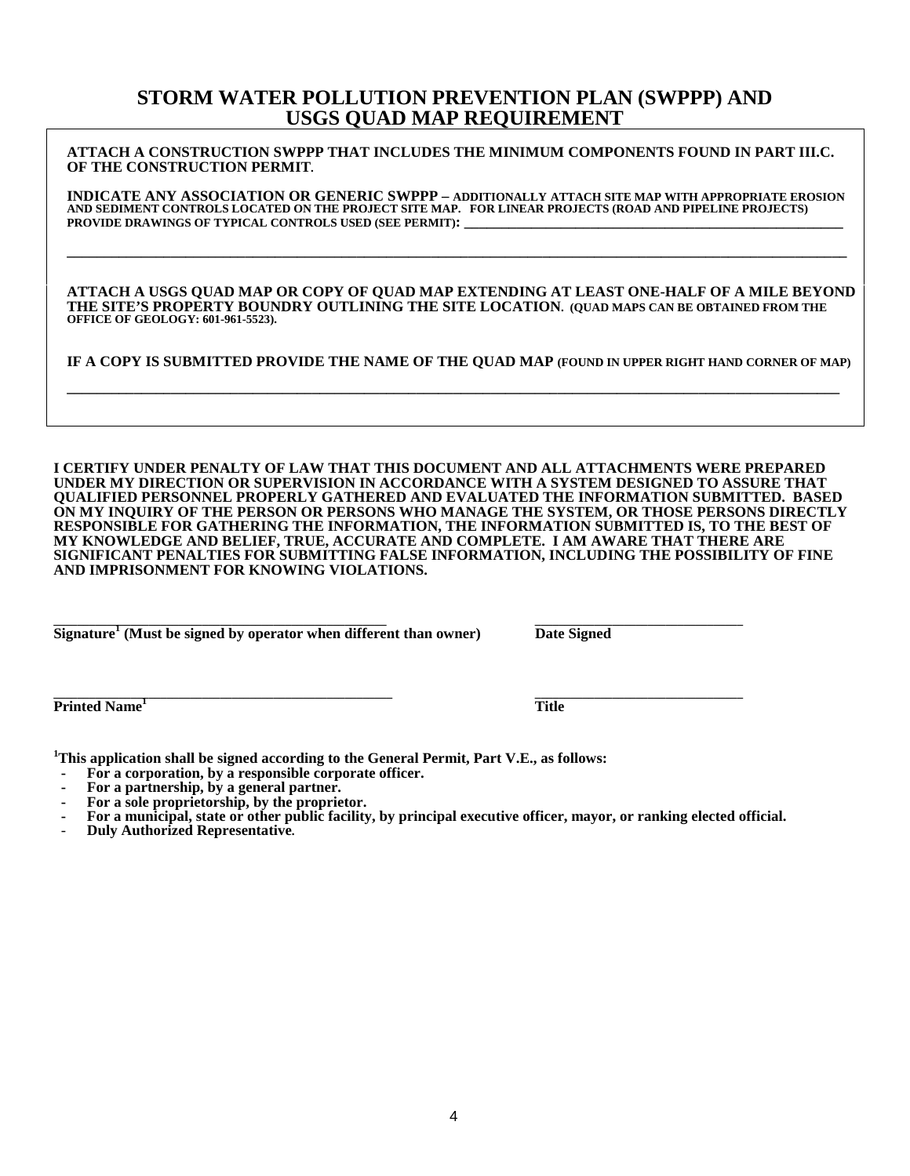#### **STORM WATER POLLUTION PREVENTION PLAN (SWPPP) AND USGS QUAD MAP REQUIREMENT**

**ATTACH A CONSTRUCTION SWPPP THAT INCLUDES THE MINIMUM COMPONENTS FOUND IN PART III.C. OF THE CONSTRUCTION PERMIT.**

**INDICATE ANY ASSOCIATION OR GENERIC SWPPP – ADDITIONALLY ATTACH SITE MAP WITH APPROPRIATE EROSION AND SEDIMENT CONTROLS LOCATED ON THE PROJECT SITE MAP. FOR LINEAR PROJECTS (ROAD AND PIPELINE PROJECTS)** PROVIDE DRAWINGS OF TYPICAL CONTROLS USED (SEE PERMIT):

**\_\_\_\_\_\_\_\_\_\_\_\_\_\_\_\_\_\_\_\_\_\_\_\_\_\_\_\_\_\_\_\_\_\_\_\_\_\_\_\_\_\_\_\_\_\_\_\_\_\_\_\_\_\_\_\_\_\_\_\_\_\_\_\_\_\_\_\_\_\_\_\_\_\_\_\_\_\_\_\_\_\_\_\_\_\_\_\_\_\_\_\_\_\_\_\_\_\_\_\_\_\_\_\_\_**

**ATTACH A USGS QUAD MAP OR COPY OF QUAD MAP EXTENDING AT LEAST ONE-HALF OF A MILE BEYOND THE SITE'S PROPERTY BOUNDRY OUTLINING THE SITE LOCATION. (QUAD MAPS CAN BE OBTAINED FROM THE OFFICE OF GEOLOGY: 601-961-5523).**

**IF A COPY IS SUBMITTED PROVIDE THE NAME OF THE QUAD MAP (FOUND IN UPPER RIGHT HAND CORNER OF MAP)**

**\_\_\_\_\_\_\_\_\_\_\_\_\_\_\_\_\_\_\_\_\_\_\_\_\_\_\_\_\_\_\_\_\_\_\_\_\_\_\_\_\_\_\_\_\_\_\_\_\_\_\_\_\_\_\_\_\_\_\_\_\_\_\_\_\_\_\_\_\_\_\_\_\_\_\_\_\_\_\_\_\_\_\_\_\_\_\_\_\_\_\_\_\_\_\_\_\_\_\_\_\_\_\_\_**

**I CERTIFY UNDER PENALTY OF LAW THAT THIS DOCUMENT AND ALL ATTACHMENTS WERE PREPARED UNDER MY DIRECTION OR SUPERVISION IN ACCORDANCE WITH A SYSTEM DESIGNED TO ASSURE THAT QUALIFIED PERSONNEL PROPERLY GATHERED AND EVALUATED THE INFORMATION SUBMITTED. BASED ON MY INQUIRY OF THE PERSON OR PERSONS WHO MANAGE THE SYSTEM, OR THOSE PERSONS DIRECTLY RESPONSIBLE FOR GATHERING THE INFORMATION, THE INFORMATION SUBMITTED IS, TO THE BEST OF MY KNOWLEDGE AND BELIEF, TRUE, ACCURATE AND COMPLETE. I AM AWARE THAT THERE ARE SIGNIFICANT PENALTIES FOR SUBMITTING FALSE INFORMATION, INCLUDING THE POSSIBILITY OF FINE AND IMPRISONMENT FOR KNOWING VIOLATIONS.**

**\_\_\_\_\_\_\_\_\_\_\_\_\_\_\_\_\_\_\_\_\_\_\_\_\_\_\_\_\_\_\_\_\_\_\_\_\_\_\_\_\_\_\_\_\_\_\_\_\_\_\_\_\_\_\_\_ \_\_\_\_\_\_\_\_\_\_\_\_\_\_\_\_\_\_\_\_\_\_\_\_\_\_\_\_\_\_\_\_\_\_\_ Signature<sup>1</sup> (Must be signed by operator when different than owner) Date Signed**

**\_\_\_\_\_\_\_\_\_\_\_\_\_\_\_\_\_\_\_\_\_\_\_\_\_\_\_\_\_\_\_\_\_\_\_\_\_\_\_\_\_\_\_\_\_\_\_\_\_\_\_\_\_\_\_\_\_ \_\_\_\_\_\_\_\_\_\_\_\_\_\_\_\_\_\_\_\_\_\_\_\_\_\_\_\_\_\_\_\_\_\_\_ Printed Name<sup>1</sup>**

 **Title**

**1 This application shall be signed according to the General Permit, Part V.E., as follows:**

- For a corporation, by a responsible corporate officer.
- For a partnership, by a general partner.
- For a sole proprietorship, by the proprietor.
- For a municipal, state or other public facility, by principal executive officer, mayor, or ranking elected official.
- **Duly Authorized Representative.**